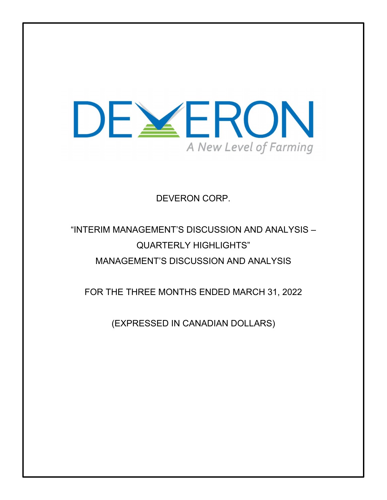

DEVERON CORP.

# "INTERIM MANAGEMENT'S DISCUSSION AND ANALYSIS – QUARTERLY HIGHLIGHTS" MANAGEMENT'S DISCUSSION AND ANALYSIS

FOR THE THREE MONTHS ENDED MARCH 31, 2022

(EXPRESSED IN CANADIAN DOLLARS)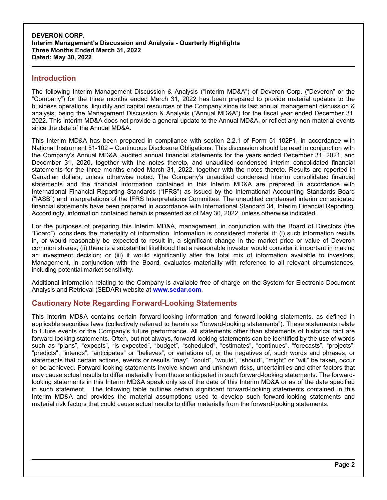### **Introduction**

The following Interim Management Discussion & Analysis ("Interim MD&A") of Deveron Corp. ("Deveron" or the "Company") for the three months ended March 31, 2022 has been prepared to provide material updates to the business operations, liquidity and capital resources of the Company since its last annual management discussion & analysis, being the Management Discussion & Analysis ("Annual MD&A") for the fiscal year ended December 31, 2022. This Interim MD&A does not provide a general update to the Annual MD&A, or reflect any non-material events since the date of the Annual MD&A.

This Interim MD&A has been prepared in compliance with section 2.2.1 of Form 51-102F1, in accordance with National Instrument 51-102 – Continuous Disclosure Obligations. This discussion should be read in conjunction with the Company's Annual MD&A, audited annual financial statements for the years ended December 31, 2021, and December 31, 2020, together with the notes thereto, and unaudited condensed interim consolidated financial statements for the three months ended March 31, 2022, together with the notes thereto. Results are reported in Canadian dollars, unless otherwise noted. The Company's unaudited condensed interim consolidated financial statements and the financial information contained in this Interim MD&A are prepared in accordance with International Financial Reporting Standards ("IFRS") as issued by the International Accounting Standards Board ("IASB") and interpretations of the IFRS Interpretations Committee. The unaudited condensed interim consolidated financial statements have been prepared in accordance with International Standard 34, Interim Financial Reporting. Accordingly, information contained herein is presented as of May 30, 2022, unless otherwise indicated.

For the purposes of preparing this Interim MD&A, management, in conjunction with the Board of Directors (the "Board"), considers the materiality of information. Information is considered material if: (i) such information results in, or would reasonably be expected to result in, a significant change in the market price or value of Deveron common shares; (ii) there is a substantial likelihood that a reasonable investor would consider it important in making an investment decision; or (iii) it would significantly alter the total mix of information available to investors. Management, in conjunction with the Board, evaluates materiality with reference to all relevant circumstances, including potential market sensitivity.

Additional information relating to the Company is available free of charge on the System for Electronic Document Analysis and Retrieval (SEDAR) website at **www.sedar.com**.

## **Cautionary Note Regarding Forward-Looking Statements**

This Interim MD&A contains certain forward-looking information and forward-looking statements, as defined in applicable securities laws (collectively referred to herein as "forward-looking statements"). These statements relate to future events or the Company's future performance. All statements other than statements of historical fact are forward-looking statements. Often, but not always, forward-looking statements can be identified by the use of words such as "plans", "expects", "is expected", "budget", "scheduled", "estimates", "continues", "forecasts", "projects", "predicts", "intends", "anticipates" or "believes", or variations of, or the negatives of, such words and phrases, or statements that certain actions, events or results "may", "could", "would", "should", "might" or "will" be taken, occur or be achieved. Forward-looking statements involve known and unknown risks, uncertainties and other factors that may cause actual results to differ materially from those anticipated in such forward-looking statements. The forwardlooking statements in this Interim MD&A speak only as of the date of this Interim MD&A or as of the date specified in such statement. The following table outlines certain significant forward-looking statements contained in this Interim MD&A and provides the material assumptions used to develop such forward-looking statements and material risk factors that could cause actual results to differ materially from the forward-looking statements.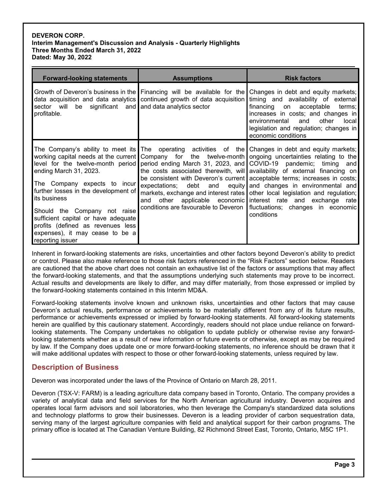| <b>Forward-looking statements</b>                                                                                                                                                                                                                                                 | <b>Assumptions</b>                                                       | <b>Risk factors</b>                                                                                                                                                                                                                                                                                                                                                                                                                                                                                                                                                                                                                                                                                                                                               |
|-----------------------------------------------------------------------------------------------------------------------------------------------------------------------------------------------------------------------------------------------------------------------------------|--------------------------------------------------------------------------|-------------------------------------------------------------------------------------------------------------------------------------------------------------------------------------------------------------------------------------------------------------------------------------------------------------------------------------------------------------------------------------------------------------------------------------------------------------------------------------------------------------------------------------------------------------------------------------------------------------------------------------------------------------------------------------------------------------------------------------------------------------------|
| sector will be significant and and data analytics sector<br>profitable.                                                                                                                                                                                                           | data acquisition and data analytics continued growth of data acquisition | Growth of Deveron's business in the Financing will be available for the Changes in debt and equity markets;<br>timing and availability of external<br>financing on acceptable<br>terms;<br>increases in costs; and changes in<br>other<br>environmental<br>and<br><b>local</b><br>legislation and regulation; changes in<br>economic conditions                                                                                                                                                                                                                                                                                                                                                                                                                   |
| ending March 31, 2023.<br>The Company expects to incur<br>further losses in the development of<br>its business<br>Should the Company not raise<br>sufficient capital or have adequate<br>profits (defined as revenues less<br>expenses), it may cease to be a<br>reporting issuer | expectations;<br>debt<br>other<br>and                                    | The Company's ability to meet its The operating activities of the Changes in debt and equity markets;<br>working capital needs at the current Company for the twelve-month ongoing uncertainties relating to the<br>level for the twelve-month period period ending March 31, 2023, and COVID-19 pandemic; timing and<br>the costs associated therewith, will availability of external financing on<br>be consistent with Deveron's current acceptable terms; increases in costs;<br>and equity and changes in environmental and<br>markets, exchange and interest rates other local legislation and regulation;<br>applicable economic interest rate and exchange rate<br>conditions are favourable to Deveron   fluctuations; changes in economic<br>conditions |

Inherent in forward-looking statements are risks, uncertainties and other factors beyond Deveron's ability to predict or control. Please also make reference to those risk factors referenced in the "Risk Factors" section below. Readers are cautioned that the above chart does not contain an exhaustive list of the factors or assumptions that may affect the forward-looking statements, and that the assumptions underlying such statements may prove to be incorrect. Actual results and developments are likely to differ, and may differ materially, from those expressed or implied by the forward-looking statements contained in this Interim MD&A.

Forward-looking statements involve known and unknown risks, uncertainties and other factors that may cause Deveron's actual results, performance or achievements to be materially different from any of its future results, performance or achievements expressed or implied by forward-looking statements. All forward-looking statements herein are qualified by this cautionary statement. Accordingly, readers should not place undue reliance on forwardlooking statements. The Company undertakes no obligation to update publicly or otherwise revise any forwardlooking statements whether as a result of new information or future events or otherwise, except as may be required by law. If the Company does update one or more forward-looking statements, no inference should be drawn that it will make additional updates with respect to those or other forward-looking statements, unless required by law.

# **Description of Business**

Deveron was incorporated under the laws of the Province of Ontario on March 28, 2011.

Deveron (TSX-V: FARM) is a leading agriculture data company based in Toronto, Ontario. The company provides a variety of analytical data and field services for the North American agricultural industry. Deveron acquires and operates local farm advisors and soil laboratories, who then leverage the Company's standardized data solutions and technology platforms to grow their businesses. Deveron is a leading provider of carbon sequestration data, serving many of the largest agriculture companies with field and analytical support for their carbon programs. The primary office is located at The Canadian Venture Building, 82 Richmond Street East, Toronto, Ontario, M5C 1P1.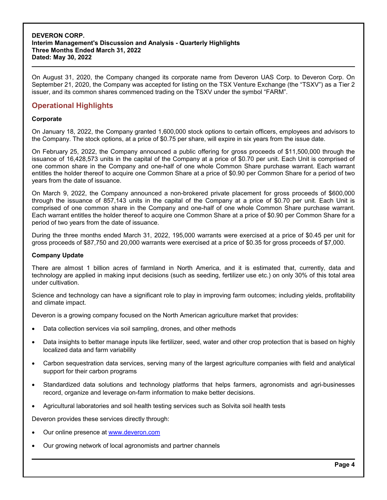On August 31, 2020, the Company changed its corporate name from Deveron UAS Corp. to Deveron Corp. On September 21, 2020, the Company was accepted for listing on the TSX Venture Exchange (the "TSXV") as a Tier 2 issuer, and its common shares commenced trading on the TSXV under the symbol "FARM".

# **Operational Highlights**

#### **Corporate**

On January 18, 2022, the Company granted 1,600,000 stock options to certain officers, employees and advisors to the Company. The stock options, at a price of \$0.75 per share, will expire in six years from the issue date.

On February 25, 2022, the Company announced a public offering for gross proceeds of \$11,500,000 through the issuance of 16,428,573 units in the capital of the Company at a price of \$0.70 per unit. Each Unit is comprised of one common share in the Company and one-half of one whole Common Share purchase warrant. Each warrant entitles the holder thereof to acquire one Common Share at a price of \$0.90 per Common Share for a period of two years from the date of issuance.

On March 9, 2022, the Company announced a non-brokered private placement for gross proceeds of \$600,000 through the issuance of 857,143 units in the capital of the Company at a price of \$0.70 per unit. Each Unit is comprised of one common share in the Company and one-half of one whole Common Share purchase warrant. Each warrant entitles the holder thereof to acquire one Common Share at a price of \$0.90 per Common Share for a period of two years from the date of issuance.

During the three months ended March 31, 2022, 195,000 warrants were exercised at a price of \$0.45 per unit for gross proceeds of \$87,750 and 20,000 warrants were exercised at a price of \$0.35 for gross proceeds of \$7,000.

#### **Company Update**

There are almost 1 billion acres of farmland in North America, and it is estimated that, currently, data and technology are applied in making input decisions (such as seeding, fertilizer use etc.) on only 30% of this total area under cultivation.

Science and technology can have a significant role to play in improving farm outcomes; including yields, profitability and climate impact.

Deveron is a growing company focused on the North American agriculture market that provides:

- Data collection services via soil sampling, drones, and other methods
- Data insights to better manage inputs like fertilizer, seed, water and other crop protection that is based on highly localized data and farm variability
- Carbon sequestration data services, serving many of the largest agriculture companies with field and analytical support for their carbon programs
- Standardized data solutions and technology platforms that helps farmers, agronomists and agri-businesses record, organize and leverage on-farm information to make better decisions.
- Agricultural laboratories and soil health testing services such as Solvita soil health tests

Deveron provides these services directly through:

- Our online presence at www.deveron.com
- Our growing network of local agronomists and partner channels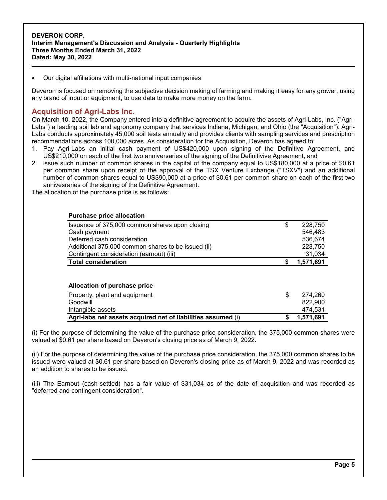#### Our digital affiliations with multi-national input companies

Deveron is focused on removing the subjective decision making of farming and making it easy for any grower, using any brand of input or equipment, to use data to make more money on the farm.

### **Acquisition of Agri-Labs Inc.**

On March 10, 2022, the Company entered into a definitive agreement to acquire the assets of Agri-Labs, Inc. ("Agri-Labs") a leading soil lab and agronomy company that services Indiana, Michigan, and Ohio (the "Acquisition"). Agri-Labs conducts approximately 45,000 soil tests annually and provides clients with sampling services and prescription recommendations across 100,000 acres. As consideration for the Acquisition, Deveron has agreed to:

- 1. Pay Agri-Labs an initial cash payment of US\$420,000 upon signing of the Definitive Agreement, and US\$210,000 on each of the first two anniversaries of the signing of the Definitivive Agreement, and
- 2. issue such number of common shares in the capital of the company equal to US\$180,000 at a price of \$0.61 per common share upon receipt of the approval of the TSX Venture Exchange ("TSXV") and an additional number of common shares equal to US\$90,000 at a price of \$0.61 per common share on each of the first two annivesraries of the signing of the Definitive Agreement.

The allocation of the purchase price is as follows:

#### **Purchase price allocation**

| Contingent consideration (earnout) (iii)<br><b>Total consideration</b> | 31.034<br>1.571.691 |
|------------------------------------------------------------------------|---------------------|
| Additional 375,000 common shares to be issued (ii)                     | 228.750             |
| Deferred cash consideration                                            | 536.674             |
| Cash payment                                                           | 546,483             |
| Issuance of 375,000 common shares upon closing                         | 228.750             |

#### **Allocation of purchase price**

| Agri-labs net assets acquired net of liabilities assumed (i) | 1.571.691 |
|--------------------------------------------------------------|-----------|
| Intangible assets                                            | 474.531   |
| Goodwill                                                     | 822,900   |
| Property, plant and equipment                                | 274.260   |

(i) For the purpose of determining the value of the purchase price consideration, the 375,000 common shares were valued at \$0.61 per share based on Deveron's closing price as of March 9, 2022.

(ii) For the purpose of determining the value of the purchase price consideration, the 375,000 common shares to be issued were valued at \$0.61 per share based on Deveron's closing price as of March 9, 2022 and was recorded as an addition to shares to be issued.

(iii) The Earnout (cash-settled) has a fair value of \$31,034 as of the date of acquisition and was recorded as "deferred and contingent consideration".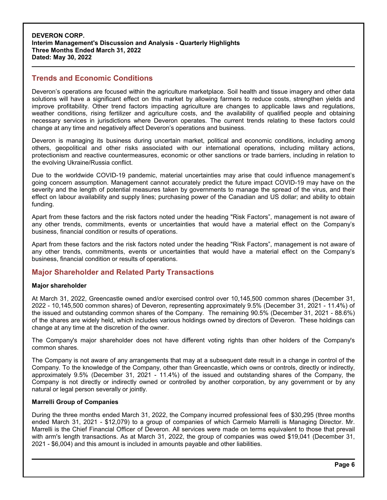# **Trends and Economic Conditions**

Deveron's operations are focused within the agriculture marketplace. Soil health and tissue imagery and other data solutions will have a significant effect on this market by allowing farmers to reduce costs, strengthen yields and improve profitability. Other trend factors impacting agriculture are changes to applicable laws and regulations, weather conditions, rising fertilizer and agriculture costs, and the availability of qualified people and obtaining necessary services in jurisdictions where Deveron operates. The current trends relating to these factors could change at any time and negatively affect Deveron's operations and business.

Deveron is managing its business during uncertain market, political and economic conditions, including among others, geopolitical and other risks associated with our international operations, including military actions, protectionism and reactive countermeasures, economic or other sanctions or trade barriers, including in relation to the evolving Ukraine/Russia conflict.

Due to the worldwide COVID-19 pandemic, material uncertainties may arise that could influence management's going concern assumption. Management cannot accurately predict the future impact COVID-19 may have on the severity and the length of potential measures taken by governments to manage the spread of the virus, and their effect on labour availability and supply lines; purchasing power of the Canadian and US dollar; and ability to obtain funding.

Apart from these factors and the risk factors noted under the heading "Risk Factors", management is not aware of any other trends, commitments, events or uncertainties that would have a material effect on the Company's business, financial condition or results of operations.

Apart from these factors and the risk factors noted under the heading "Risk Factors", management is not aware of any other trends, commitments, events or uncertainties that would have a material effect on the Company's business, financial condition or results of operations.

## **Major Shareholder and Related Party Transactions**

#### **Major shareholder**

At March 31, 2022, Greencastle owned and/or exercised control over 10,145,500 common shares (December 31, 2022 - 10,145,500 common shares) of Deveron, representing approximately 9.5% (December 31, 2021 - 11.4%) of the issued and outstanding common shares of the Company. The remaining 90.5% (December 31, 2021 - 88.6%) of the shares are widely held, which includes various holdings owned by directors of Deveron. These holdings can change at any time at the discretion of the owner.

The Company's major shareholder does not have different voting rights than other holders of the Company's common shares.

The Company is not aware of any arrangements that may at a subsequent date result in a change in control of the Company. To the knowledge of the Company, other than Greencastle, which owns or controls, directly or indirectly, approximately 9.5% (December 31, 2021 - 11.4%) of the issued and outstanding shares of the Company, the Company is not directly or indirectly owned or controlled by another corporation, by any government or by any natural or legal person severally or jointly.

#### **Marrelli Group of Companies**

During the three months ended March 31, 2022, the Company incurred professional fees of \$30,295 (three months ended March 31, 2021 - \$12,079) to a group of companies of which Carmelo Marrelli is Managing Director. Mr. Marrelli is the Chief Financial Officer of Deveron. All services were made on terms equivalent to those that prevail with arm's length transactions. As at March 31, 2022, the group of companies was owed \$19,041 (December 31, 2021 - \$6,004) and this amount is included in amounts payable and other liabilities.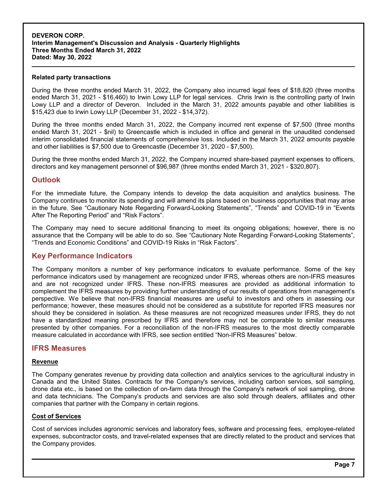#### **Related party transactions**

During the three months ended March 31, 2022, the Company also incurred legal fees of \$18,820 (three months ended March 31, 2021 - \$16,460) to Irwin Lowy LLP for legal services. Chris Irwin is the controlling party of Irwin Lowy LLP and a director of Deveron. Included in the March 31, 2022 amounts payable and other liabilities is \$15,423 due to Irwin Lowy LLP (December 31, 2022 - \$14,372).

During the three months ended March 31, 2022, the Company incurred rent expense of \$7,500 (three months ended March 31, 2021 - \$nil) to Greencastle which is included in office and general in the unaudited condensed interim consolidated financial statements of comprehensive loss. Included in the March 31, 2022 amounts payable and other liabilities is \$7,500 due to Greencastle (December 31, 2020 - \$7,500).

During the three months ended March 31, 2022, the Company incurred share-based payment expenses to officers, directors and key management personnel of \$96,987 (three months ended March 31, 2021 - \$320,807).

### **Outlook**

For the immediate future, the Company intends to develop the data acquisition and analytics business. The Company continues to monitor its spending and will amend its plans based on business opportunities that may arise in the future. See "Cautionary Note Regarding Forward-Looking Statements", "Trends" and COVID-19 in "Events After The Reporting Period" and "Risk Factors".

The Company may need to secure additional financing to meet its ongoing obligations; however, there is no assurance that the Company will be able to do so. See "Cautionary Note Regarding Forward-Looking Statements", "Trends and Economic Conditions" and COVID-19 Risks in "Risk Factors".

### **Key Performance Indicators**

The Company monitors a number of key performance indicators to evaluate performance. Some of the key performance indicators used by management are recognized under IFRS, whereas others are non-IFRS measures and are not recognized under IFRS. These non-IFRS measures are provided as additional information to complement the IFRS measures by providing further understanding of our results of operations from management's perspective. We believe that non-IFRS financial measures are useful to investors and others in assessing our performance; however, these measures should not be considered as a substitute for reported IFRS measures nor should they be considered in isolation. As these measures are not recognized measures under IFRS, they do not have a standardized meaning prescribed by IFRS and therefore may not be comparable to similar measures presented by other companies. For a reconciliation of the non-IFRS measures to the most directly comparable measure calculated in accordance with IFRS, see section entitled "Non-IFRS Measures" below.

### **IFRS Measures**

#### **Revenue**

The Company generates revenue by providing data collection and analytics services to the agricultural industry in Canada and the United States. Contracts for the Company's services, including carbon services, soil sampling, drone data etc., is based on the collection of on-farm data through the Company's network of soil sampling, drone and data technicians. The Company's products and services are also sold through dealers, affiliates and other companies that partner with the Company in certain regions.

#### **Cost of Services**

Cost of services includes agronomic services and laboratory fees, software and processing fees, employee-related expenses, subcontractor costs, and travel-related expenses that are directly related to the product and services that the Company provides.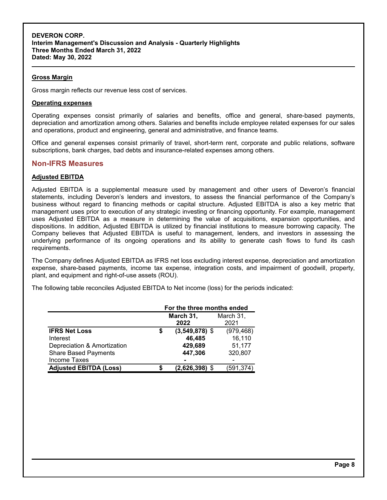### **Gross Margin**

Gross margin reflects our revenue less cost of services.

#### **Operating expenses**

Operating expenses consist primarily of salaries and benefits, office and general, share-based payments, depreciation and amortization among others. Salaries and benefits include employee related expenses for our sales and operations, product and engineering, general and administrative, and finance teams.

Office and general expenses consist primarily of travel, short-term rent, corporate and public relations, software subscriptions, bank charges, bad debts and insurance-related expenses among others.

### **Non-IFRS Measures**

### **Adjusted EBITDA**

Adjusted EBITDA is a supplemental measure used by management and other users of Deveron's financial statements, including Deveron's lenders and investors, to assess the financial performance of the Company's business without regard to financing methods or capital structure. Adjusted EBITDA is also a key metric that management uses prior to execution of any strategic investing or financing opportunity. For example, management uses Adjusted EBITDA as a measure in determining the value of acquisitions, expansion opportunities, and dispositions. In addition, Adjusted EBITDA is utilized by financial institutions to measure borrowing capacity. The Company believes that Adjusted EBITDA is useful to management, lenders, and investors in assessing the underlying performance of its ongoing operations and its ability to generate cash flows to fund its cash requirements.

The Company defines Adjusted EBITDA as IFRS net loss excluding interest expense, depreciation and amortization expense, share-based payments, income tax expense, integration costs, and impairment of goodwill, property, plant, and equipment and right-of-use assets (ROU).

The following table reconciles Adjusted EBITDA to Net income (loss) for the periods indicated:

|                               | For the three months ended |                  |            |
|-------------------------------|----------------------------|------------------|------------|
|                               |                            | March 31,        | March 31,  |
|                               |                            | 2022             | 2021       |
| <b>IFRS Net Loss</b>          |                            | $(3,549,878)$ \$ | (979, 468) |
| Interest                      |                            | 46,485           | 16,110     |
| Depreciation & Amortization   |                            | 429,689          | 51,177     |
| <b>Share Based Payments</b>   |                            | 447,306          | 320,807    |
| Income Taxes                  |                            |                  |            |
| <b>Adjusted EBITDA (Loss)</b> |                            | $(2,626,398)$ \$ | (591,374)  |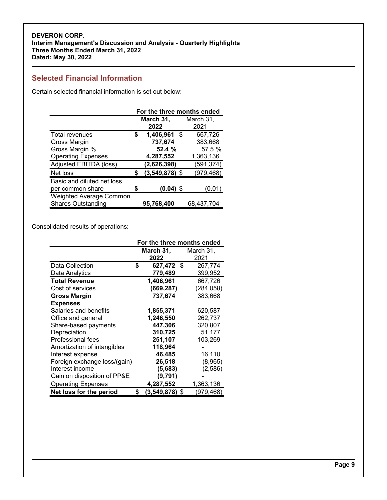# **Selected Financial Information**

Certain selected financial information is set out below:

|                                | For the three months ended |                  |            |
|--------------------------------|----------------------------|------------------|------------|
|                                |                            | March 31,        | March 31,  |
|                                |                            | 2022             | 2021       |
| <b>Total revenues</b>          | \$                         | 1,406,961<br>-\$ | 667,726    |
| Gross Margin                   |                            | 737,674          | 383,668    |
| Gross Margin %                 |                            | 52.4 %           | 57.5 %     |
| <b>Operating Expenses</b>      |                            | 4,287,552        | 1,363,136  |
| Adjusted EBITDA (loss)         |                            | (2,626,398)      | (591, 374) |
| Net loss                       | S                          | $(3,549,878)$ \$ | (979, 468) |
| Basic and diluted net loss     |                            |                  |            |
| per common share               | S                          | $(0.04)$ \$      | (0.01)     |
| <b>Weighted Average Common</b> |                            |                  |            |
| <b>Shares Outstanding</b>      |                            | 95,768,400       | 68,437,704 |

Consolidated results of operations:

|                              | For the three months ended |            |
|------------------------------|----------------------------|------------|
|                              | March 31,                  | March 31,  |
|                              | 2022                       | 2021       |
| Data Collection              | \$<br>627,472 \$           | 267,774    |
| Data Analytics               | 779,489                    | 399,952    |
| <b>Total Revenue</b>         | 1,406,961                  | 667,726    |
| Cost of services             | (669,287)                  | (284, 058) |
| <b>Gross Margin</b>          | 737,674                    | 383,668    |
| <b>Expenses</b>              |                            |            |
| Salaries and benefits        | 1,855,371                  | 620,587    |
| Office and general           | 1,246,550                  | 262,737    |
| Share-based payments         | 447,306                    | 320,807    |
| Depreciation                 | 310,725                    | 51,177     |
| Professional fees            | 251,107                    | 103,269    |
| Amortization of intangibles  | 118,964                    |            |
| Interest expense             | 46,485                     | 16,110     |
| Foreign exchange loss/(gain) | 26,518                     | (8,965)    |
| Interest income              | (5,683)                    | (2,586)    |
| Gain on disposition of PP&E  | (9,791)                    |            |
| <b>Operating Expenses</b>    | 4,287,552                  | 1,363,136  |
| Net loss for the period      | \$<br>$(3,549,878)$ \$     | (979, 468) |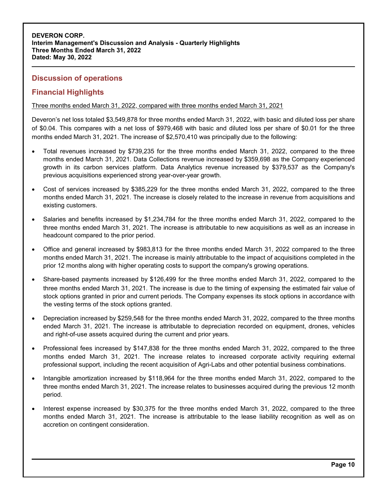# **Discussion of operations**

# **Financial Highlights**

Three months ended March 31, 2022, compared with three months ended March 31, 2021

Deveron's net loss totaled \$3,549,878 for three months ended March 31, 2022, with basic and diluted loss per share of \$0.04. This compares with a net loss of \$979,468 with basic and diluted loss per share of \$0.01 for the three months ended March 31, 2021. The increase of \$2,570,410 was principally due to the following:

- Total revenues increased by \$739,235 for the three months ended March 31, 2022, compared to the three months ended March 31, 2021. Data Collections revenue increased by \$359,698 as the Company experienced growth in its carbon services platform. Data Analytics revenue increased by \$379,537 as the Company's previous acquisitions experienced strong year-over-year growth.
- Cost of services increased by \$385,229 for the three months ended March 31, 2022, compared to the three months ended March 31, 2021. The increase is closely related to the increase in revenue from acquisitions and existing customers.
- Salaries and benefits increased by \$1,234,784 for the three months ended March 31, 2022, compared to the three months ended March 31, 2021. The increase is attributable to new acquisitions as well as an increase in headcount compared to the prior period.
- Office and general increased by \$983,813 for the three months ended March 31, 2022 compared to the three months ended March 31, 2021. The increase is mainly attributable to the impact of acquisitions completed in the prior 12 months along with higher operating costs to support the company's growing operations.
- Share-based payments increased by \$126,499 for the three months ended March 31, 2022, compared to the three months ended March 31, 2021. The increase is due to the timing of expensing the estimated fair value of stock options granted in prior and current periods. The Company expenses its stock options in accordance with the vesting terms of the stock options granted.
- Depreciation increased by \$259,548 for the three months ended March 31, 2022, compared to the three months ended March 31, 2021. The increase is attributable to depreciation recorded on equipment, drones, vehicles and right-of-use assets acquired during the current and prior years.
- Professional fees increased by \$147,838 for the three months ended March 31, 2022, compared to the three months ended March 31, 2021. The increase relates to increased corporate activity requiring external professional support, including the recent acquisition of Agri-Labs and other potential business combinations.
- Intangible amortization increased by \$118,964 for the three months ended March 31, 2022, compared to the three months ended March 31, 2021. The increase relates to businesses acquired during the previous 12 month period.
- Interest expense increased by \$30,375 for the three months ended March 31, 2022, compared to the three months ended March 31, 2021. The increase is attributable to the lease liability recognition as well as on accretion on contingent consideration.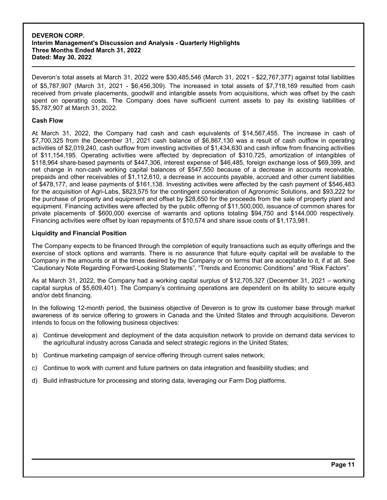Deveron's total assets at March 31, 2022 were \$30,485,546 (March 31, 2021 - \$22,767,377) against total liabilities of \$5,787,907 (March 31, 2021 - \$6,456,309). The increased in total assets of \$7,718,169 resulted from cash received from private placements, goodwill and intangible assets from acquisitions, which was offset by the cash spent on operating costs. The Company does have sufficient current assets to pay its existing liabilities of \$5,787,907 at March 31, 2022.

#### **Cash Flow**

At March 31, 2022, the Company had cash and cash equivalents of \$14,567,455. The increase in cash of \$7,700,325 from the December 31, 2021 cash balance of \$6,867,130 was a result of cash outflow in operating activities of \$2,019,240, cash outflow from investing activities of \$1,434,630 and cash inflow from financing activities of \$11,154,195. Operating activities were affected by depreciation of \$310,725, amortization of intangibles of \$118,964 share-based payments of \$447,306, interest expense of \$46,485, foreign exchange loss of \$69,399, and net change in non-cash working capital balances of \$547,550 because of a decrease in accounts receivable, prepaids and other receivables of \$1,112,610, a decrease in accounts payable, accrued and other current liabilities of \$478,177, and lease payments of \$161,138. Investing activities were affected by the cash payment of \$546,483 for the acquisition of Agri-Labs, \$823,575 for the contingent consideration of Agronomic Solutions, and \$93,222 for the purchase of property and equipment and offset by \$28,650 for the proceeds from the sale of property plant and equipment. Financing activities were affected by the public offering of \$11,500,000, issuance of common shares for private placements of \$600,000 exercise of warrants and options totaling \$94,750 and \$144,000 respectively. Financing activities were offset by loan repayments of \$10,574 and share issue costs of \$1,173,981.

### **Liquidity and Financial Position**

The Company expects to be financed through the completion of equity transactions such as equity offerings and the exercise of stock options and warrants. There is no assurance that future equity capital will be available to the Company in the amounts or at the times desired by the Company or on terms that are acceptable to it, if at all. See "Cautionary Note Regarding Forward-Looking Statements", "Trends and Economic Conditions" and "Risk Factors".

As at March 31, 2022, the Company had a working capital surplus of \$12,705,327 (December 31, 2021 – working capital surplus of \$5,609,401). The Company's continuing operations are dependent on its ability to secure equity and/or debt financing.

In the following 12-month period, the business objective of Deveron is to grow its customer base through market awareness of its service offering to growers in Canada and the United States and through acquisitions. Deveron intends to focus on the following business objectives:

- a) Continue development and deployment of the data acquisition network to provide on demand data services to the agricultural industry across Canada and select strategic regions in the United States;
- b) Continue marketing campaign of service offering through current sales network;
- c) Continue to work with current and future partners on data integration and feasibility studies; and
- d) Build infrastructure for processing and storing data, leveraging our Farm Dog platforms.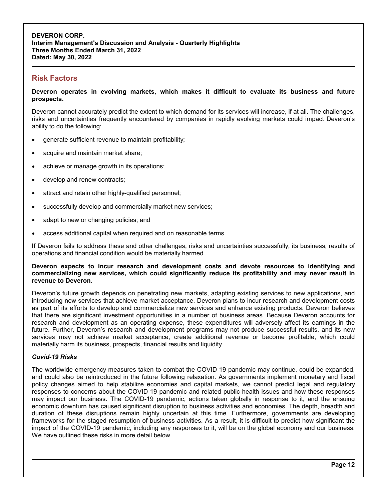# **Risk Factors**

**Deveron operates in evolving markets, which makes it difficult to evaluate its business and future prospects.**

Deveron cannot accurately predict the extent to which demand for its services will increase, if at all. The challenges, risks and uncertainties frequently encountered by companies in rapidly evolving markets could impact Deveron's ability to do the following:

- generate sufficient revenue to maintain profitability;
- acquire and maintain market share;
- achieve or manage growth in its operations;
- develop and renew contracts;
- attract and retain other highly-qualified personnel;
- successfully develop and commercially market new services;
- adapt to new or changing policies; and
- access additional capital when required and on reasonable terms.

If Deveron fails to address these and other challenges, risks and uncertainties successfully, its business, results of operations and financial condition would be materially harmed.

#### **Deveron expects to incur research and development costs and devote resources to identifying and commercializing new services, which could significantly reduce its profitability and may never result in revenue to Deveron.**

Deveron's future growth depends on penetrating new markets, adapting existing services to new applications, and introducing new services that achieve market acceptance. Deveron plans to incur research and development costs as part of its efforts to develop and commercialize new services and enhance existing products. Deveron believes that there are significant investment opportunities in a number of business areas. Because Deveron accounts for research and development as an operating expense, these expenditures will adversely affect its earnings in the future. Further, Deveron's research and development programs may not produce successful results, and its new services may not achieve market acceptance, create additional revenue or become profitable, which could materially harm its business, prospects, financial results and liquidity.

#### *Covid-19 Risks*

The worldwide emergency measures taken to combat the COVID-19 pandemic may continue, could be expanded, and could also be reintroduced in the future following relaxation. As governments implement monetary and fiscal policy changes aimed to help stabilize economies and capital markets, we cannot predict legal and regulatory responses to concerns about the COVID-19 pandemic and related public health issues and how these responses may impact our business. The COVID-19 pandemic, actions taken globally in response to it, and the ensuing economic downturn has caused significant disruption to business activities and economies. The depth, breadth and duration of these disruptions remain highly uncertain at this time. Furthermore, governments are developing frameworks for the staged resumption of business activities. As a result, it is difficult to predict how significant the impact of the COVID-19 pandemic, including any responses to it, will be on the global economy and our business. We have outlined these risks in more detail below.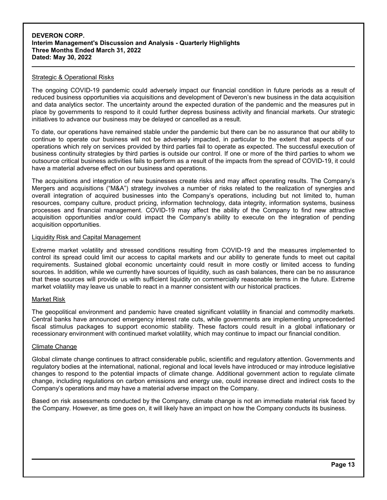#### Strategic & Operational Risks

The ongoing COVID-19 pandemic could adversely impact our financial condition in future periods as a result of reduced business opportunities via acquisitions and development of Deveron's new business in the data acquisition and data analytics sector. The uncertainty around the expected duration of the pandemic and the measures put in place by governments to respond to it could further depress business activity and financial markets. Our strategic initiatives to advance our business may be delayed or cancelled as a result.

To date, our operations have remained stable under the pandemic but there can be no assurance that our ability to continue to operate our business will not be adversely impacted, in particular to the extent that aspects of our operations which rely on services provided by third parties fail to operate as expected. The successful execution of business continuity strategies by third parties is outside our control. If one or more of the third parties to whom we outsource critical business activities fails to perform as a result of the impacts from the spread of COVID-19, it could have a material adverse effect on our business and operations.

The acquisitions and integration of new businesses create risks and may affect operating results. The Company's Mergers and acquisitions ("M&A") strategy involves a number of risks related to the realization of synergies and overall integration of acquired businesses into the Company's operations, including but not limited to, human resources, company culture, product pricing, information technology, data integrity, information systems, business processes and financial management. COVID-19 may affect the ability of the Company to find new attractive acquisition opportunities and/or could impact the Company's ability to execute on the integration of pending acquisition opportunities.

#### Liquidity Risk and Capital Management

Extreme market volatility and stressed conditions resulting from COVID-19 and the measures implemented to control its spread could limit our access to capital markets and our ability to generate funds to meet out capital requirements. Sustained global economic uncertainty could result in more costly or limited access to funding sources. In addition, while we currently have sources of liquidity, such as cash balances, there can be no assurance that these sources will provide us with sufficient liquidity on commercially reasonable terms in the future. Extreme market volatility may leave us unable to react in a manner consistent with our historical practices.

#### Market Risk

The geopolitical environment and pandemic have created significant volatility in financial and commodity markets. Central banks have announced emergency interest rate cuts, while governments are implementing unprecedented fiscal stimulus packages to support economic stability. These factors could result in a global inflationary or recessionary environment with continued market volatility, which may continue to impact our financial condition.

#### Climate Change

Global climate change continues to attract considerable public, scientific and regulatory attention. Governments and regulatory bodies at the international, national, regional and local levels have introduced or may introduce legislative changes to respond to the potential impacts of climate change. Additional government action to regulate climate change, including regulations on carbon emissions and energy use, could increase direct and indirect costs to the Company's operations and may have a material adverse impact on the Company.

Based on risk assessments conducted by the Company, climate change is not an immediate material risk faced by the Company. However, as time goes on, it will likely have an impact on how the Company conducts its business.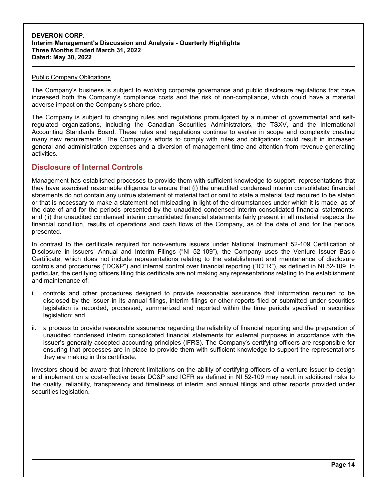#### Public Company Obligations

The Company's business is subject to evolving corporate governance and public disclosure regulations that have increased both the Company's compliance costs and the risk of non-compliance, which could have a material adverse impact on the Company's share price.

The Company is subject to changing rules and regulations promulgated by a number of governmental and selfregulated organizations, including the Canadian Securities Administrators, the TSXV, and the International Accounting Standards Board. These rules and regulations continue to evolve in scope and complexity creating many new requirements. The Company's efforts to comply with rules and obligations could result in increased general and administration expenses and a diversion of management time and attention from revenue-generating activities.

### **Disclosure of Internal Controls**

Management has established processes to provide them with sufficient knowledge to support representations that they have exercised reasonable diligence to ensure that (i) the unaudited condensed interim consolidated financial statements do not contain any untrue statement of material fact or omit to state a material fact required to be stated or that is necessary to make a statement not misleading in light of the circumstances under which it is made, as of the date of and for the periods presented by the unaudited condensed interim consolidated financial statements; and (ii) the unaudited condensed interim consolidated financial statements fairly present in all material respects the financial condition, results of operations and cash flows of the Company, as of the date of and for the periods presented.

In contrast to the certificate required for non-venture issuers under National Instrument 52-109 Certification of Disclosure in Issuers' Annual and Interim Filings ("NI 52-109"), the Company uses the Venture Issuer Basic Certificate, which does not include representations relating to the establishment and maintenance of disclosure controls and procedures ("DC&P") and internal control over financial reporting ("ICFR"), as defined in NI 52-109. In particular, the certifying officers filing this certificate are not making any representations relating to the establishment and maintenance of:

- i. controls and other procedures designed to provide reasonable assurance that information required to be disclosed by the issuer in its annual filings, interim filings or other reports filed or submitted under securities legislation is recorded, processed, summarized and reported within the time periods specified in securities legislation; and
- ii. a process to provide reasonable assurance regarding the reliability of financial reporting and the preparation of unaudited condensed interim consolidated financial statements for external purposes in accordance with the issuer's generally accepted accounting principles (IFRS). The Company's certifying officers are responsible for ensuring that processes are in place to provide them with sufficient knowledge to support the representations they are making in this certificate.

Investors should be aware that inherent limitations on the ability of certifying officers of a venture issuer to design and implement on a cost-effective basis DC&P and ICFR as defined in NI 52-109 may result in additional risks to the quality, reliability, transparency and timeliness of interim and annual filings and other reports provided under securities legislation.